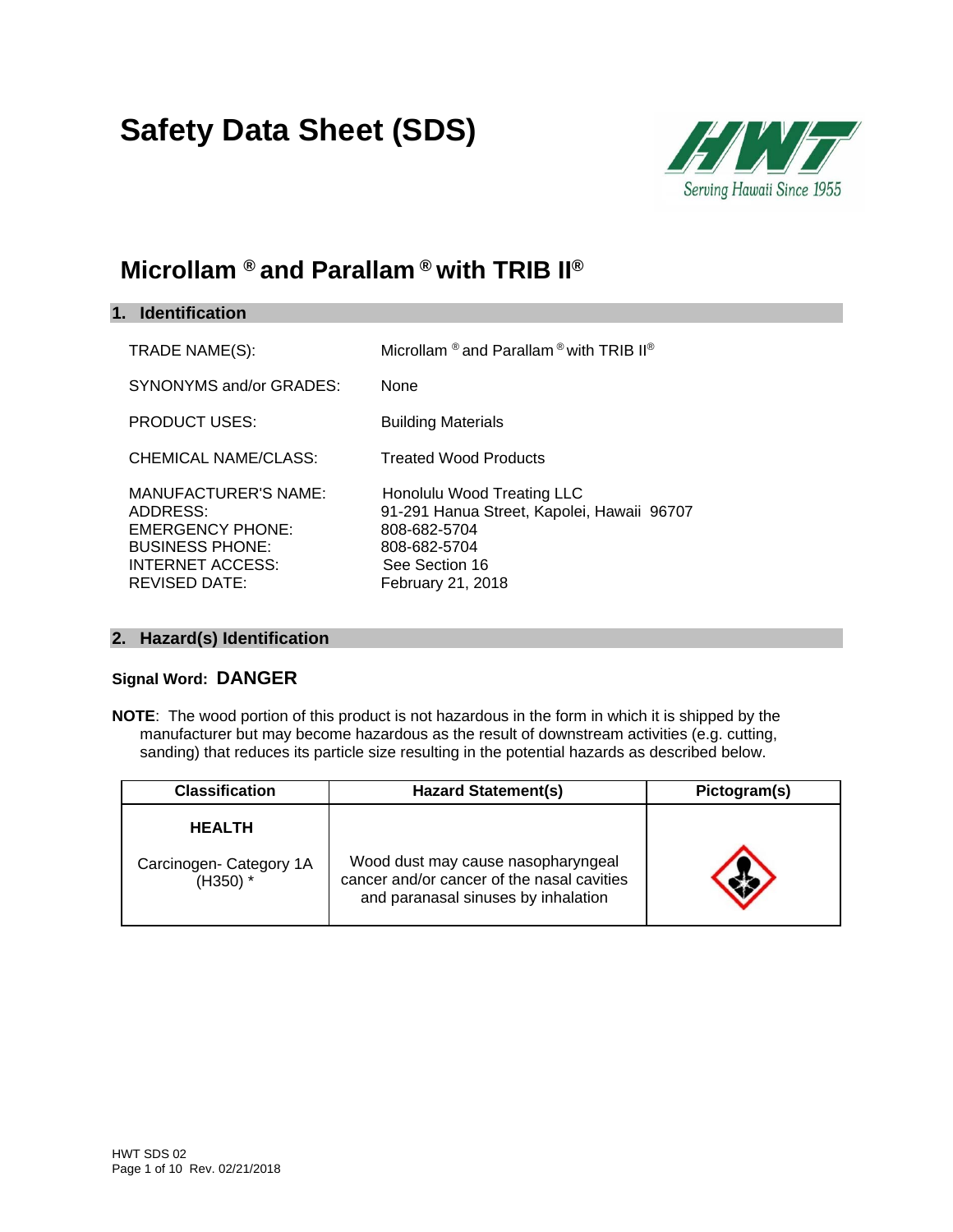# **Safety Data Sheet (SDS)**



# **Microllam ® and Parallam ® with TRIB II®**

| 1. Identification                                                                                                                        |                                                                                                                                                 |
|------------------------------------------------------------------------------------------------------------------------------------------|-------------------------------------------------------------------------------------------------------------------------------------------------|
| TRADE NAME(S):                                                                                                                           | Microllam $^{\circledR}$ and Parallam $^{\circledR}$ with TRIB II $^{\circledR}$                                                                |
| SYNONYMS and/or GRADES:                                                                                                                  | None                                                                                                                                            |
| <b>PRODUCT USES:</b>                                                                                                                     | <b>Building Materials</b>                                                                                                                       |
| CHEMICAL NAME/CLASS:                                                                                                                     | <b>Treated Wood Products</b>                                                                                                                    |
| MANUFACTURER'S NAME:<br>ADDRESS:<br><b>EMERGENCY PHONE:</b><br><b>BUSINESS PHONE:</b><br><b>INTERNET ACCESS:</b><br><b>REVISED DATE:</b> | Honolulu Wood Treating LLC<br>91-291 Hanua Street, Kapolei, Hawaii 96707<br>808-682-5704<br>808-682-5704<br>See Section 16<br>February 21, 2018 |

# **2. Hazard(s) Identification**

# **Signal Word: DANGER**

**NOTE**: The wood portion of this product is not hazardous in the form in which it is shipped by the manufacturer but may become hazardous as the result of downstream activities (e.g. cutting, sanding) that reduces its particle size resulting in the potential hazards as described below.

| <b>Classification</b>                 | <b>Hazard Statement(s)</b>                                                                                              | Pictogram(s) |
|---------------------------------------|-------------------------------------------------------------------------------------------------------------------------|--------------|
| <b>HEALTH</b>                         |                                                                                                                         |              |
| Carcinogen- Category 1A<br>$(H350)$ * | Wood dust may cause nasopharyngeal<br>cancer and/or cancer of the nasal cavities<br>and paranasal sinuses by inhalation |              |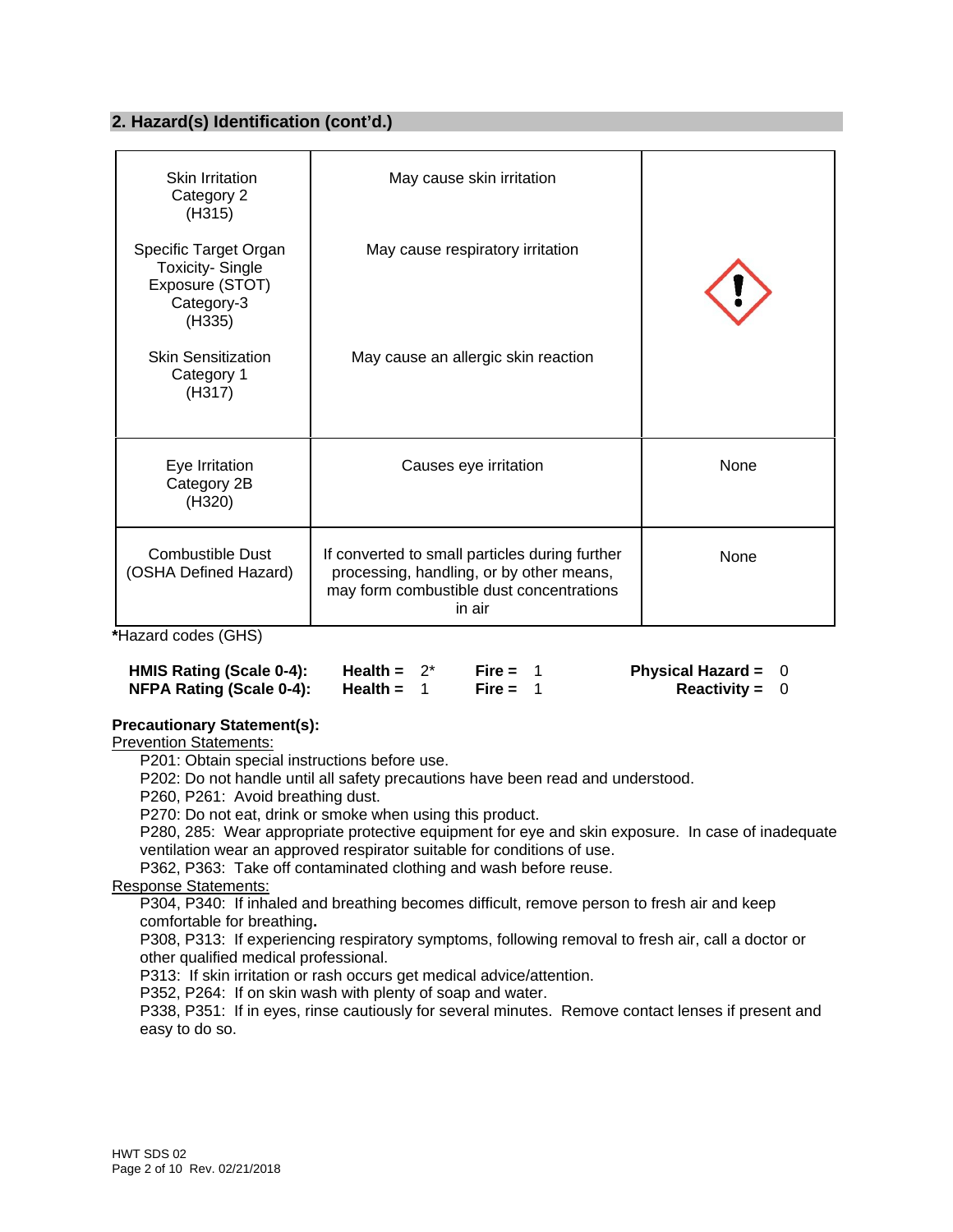# **2. Hazard(s) Identification (cont'd.)**

| Skin Irritation<br>Category 2<br>(H315)                                                    | May cause skin irritation                                                                                                                        |      |
|--------------------------------------------------------------------------------------------|--------------------------------------------------------------------------------------------------------------------------------------------------|------|
| Specific Target Organ<br><b>Toxicity-Single</b><br>Exposure (STOT)<br>Category-3<br>(H335) | May cause respiratory irritation                                                                                                                 |      |
| <b>Skin Sensitization</b><br>Category 1<br>(H317)                                          | May cause an allergic skin reaction                                                                                                              |      |
| Eye Irritation<br>Category 2B<br>(H320)                                                    | Causes eye irritation                                                                                                                            | None |
| <b>Combustible Dust</b><br>(OSHA Defined Hazard)                                           | If converted to small particles during further<br>processing, handling, or by other means,<br>may form combustible dust concentrations<br>in air | None |

**\***Hazard codes (GHS)

| HMIS Rating (Scale 0-4): | Health = $2^*$ | Fire = $1$ | Physical Hazard = $0$ |  |
|--------------------------|----------------|------------|-----------------------|--|
| NFPA Rating (Scale 0-4): | Health =       | Fire = $1$ | <b>Reactivity = 0</b> |  |

#### **Precautionary Statement(s):**

Prevention Statements:

P201: Obtain special instructions before use.

P202: Do not handle until all safety precautions have been read and understood.

P260, P261: Avoid breathing dust.

P270: Do not eat, drink or smoke when using this product.

P280, 285: Wear appropriate protective equipment for eye and skin exposure. In case of inadequate ventilation wear an approved respirator suitable for conditions of use.

P362, P363: Take off contaminated clothing and wash before reuse.

Response Statements:

P304, P340: If inhaled and breathing becomes difficult, remove person to fresh air and keep comfortable for breathing**.** 

P308, P313: If experiencing respiratory symptoms, following removal to fresh air, call a doctor or other qualified medical professional.

P313: If skin irritation or rash occurs get medical advice/attention.

P352, P264: If on skin wash with plenty of soap and water.

P338, P351: If in eyes, rinse cautiously for several minutes. Remove contact lenses if present and easy to do so.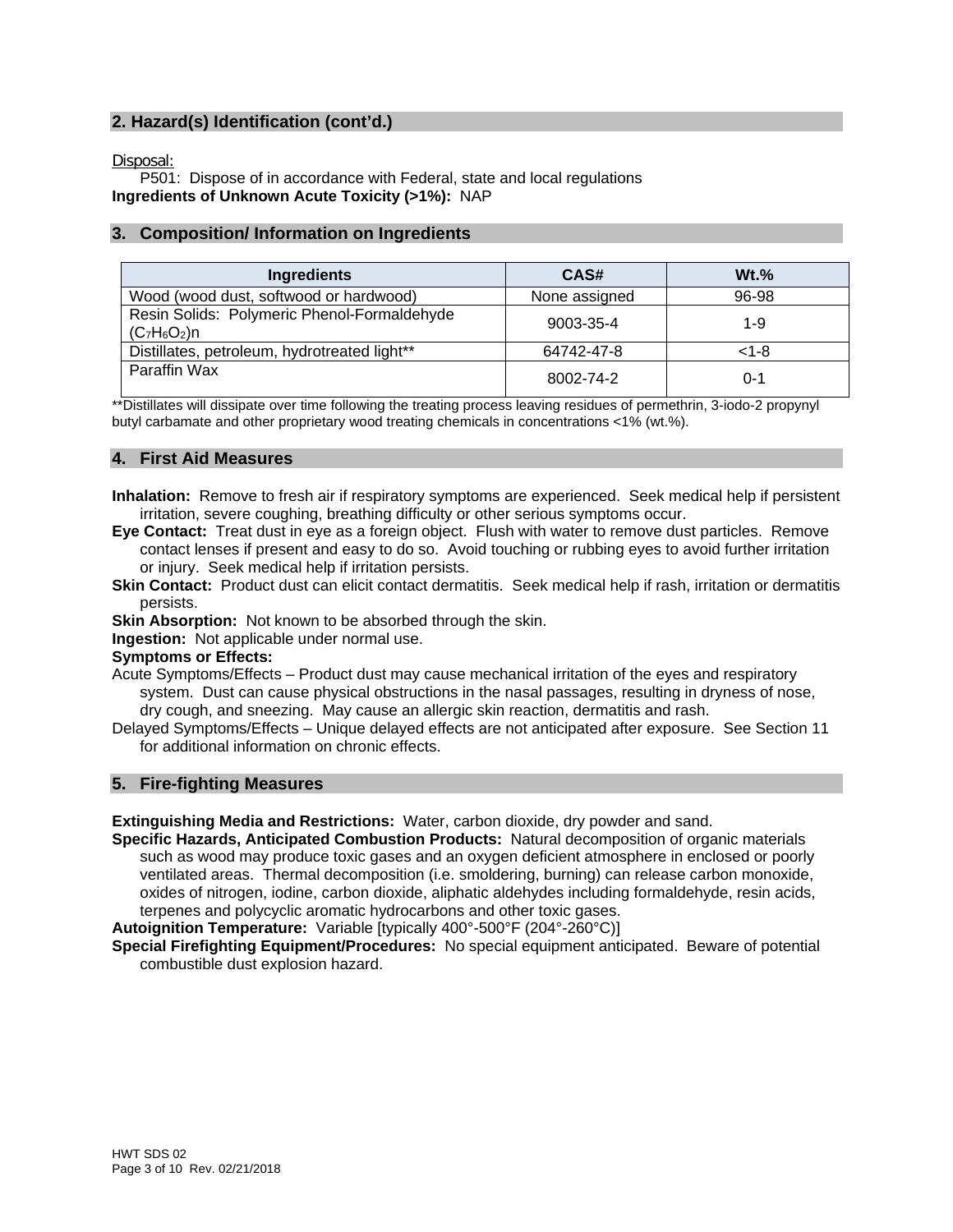# **2. Hazard(s) Identification (cont'd.)**

Disposal:

P501: Dispose of in accordance with Federal, state and local regulations **Ingredients of Unknown Acute Toxicity (>1%):** NAP

### **3. Composition/ Information on Ingredients**

| Ingredients                                                   | CAS#          | $Wt.$ %   |
|---------------------------------------------------------------|---------------|-----------|
| Wood (wood dust, softwood or hardwood)                        | None assigned | 96-98     |
| Resin Solids: Polymeric Phenol-Formaldehyde<br>$(C_7H_6O_2)n$ | 9003-35-4     | $1 - 9$   |
| Distillates, petroleum, hydrotreated light**                  | 64742-47-8    | $< 1 - 8$ |
| Paraffin Wax                                                  | 8002-74-2     | $0 - 1$   |

\*\*Distillates will dissipate over time following the treating process leaving residues of permethrin, 3-iodo-2 propynyl butyl carbamate and other proprietary wood treating chemicals in concentrations <1% (wt.%).

# **4. First Aid Measures**

- **Inhalation:** Remove to fresh air if respiratory symptoms are experienced. Seek medical help if persistent irritation, severe coughing, breathing difficulty or other serious symptoms occur.
- **Eye Contact:** Treat dust in eye as a foreign object. Flush with water to remove dust particles. Remove contact lenses if present and easy to do so. Avoid touching or rubbing eyes to avoid further irritation or injury. Seek medical help if irritation persists.
- **Skin Contact:** Product dust can elicit contact dermatitis. Seek medical help if rash, irritation or dermatitis persists.

**Skin Absorption:** Not known to be absorbed through the skin.

**Ingestion:** Not applicable under normal use.

#### **Symptoms or Effects:**

- Acute Symptoms/Effects Product dust may cause mechanical irritation of the eyes and respiratory system. Dust can cause physical obstructions in the nasal passages, resulting in dryness of nose,
	- dry cough, and sneezing. May cause an allergic skin reaction, dermatitis and rash.
- Delayed Symptoms/Effects Unique delayed effects are not anticipated after exposure. See Section 11 for additional information on chronic effects.

#### **5. Fire-fighting Measures**

**Extinguishing Media and Restrictions:** Water, carbon dioxide, dry powder and sand.

**Specific Hazards, Anticipated Combustion Products:** Natural decomposition of organic materials such as wood may produce toxic gases and an oxygen deficient atmosphere in enclosed or poorly ventilated areas. Thermal decomposition (i.e. smoldering, burning) can release carbon monoxide, oxides of nitrogen, iodine, carbon dioxide, aliphatic aldehydes including formaldehyde, resin acids, terpenes and polycyclic aromatic hydrocarbons and other toxic gases.

**Autoignition Temperature:** Variable [typically 400°-500°F (204°-260°C)]

**Special Firefighting Equipment/Procedures:** No special equipment anticipated. Beware of potential combustible dust explosion hazard.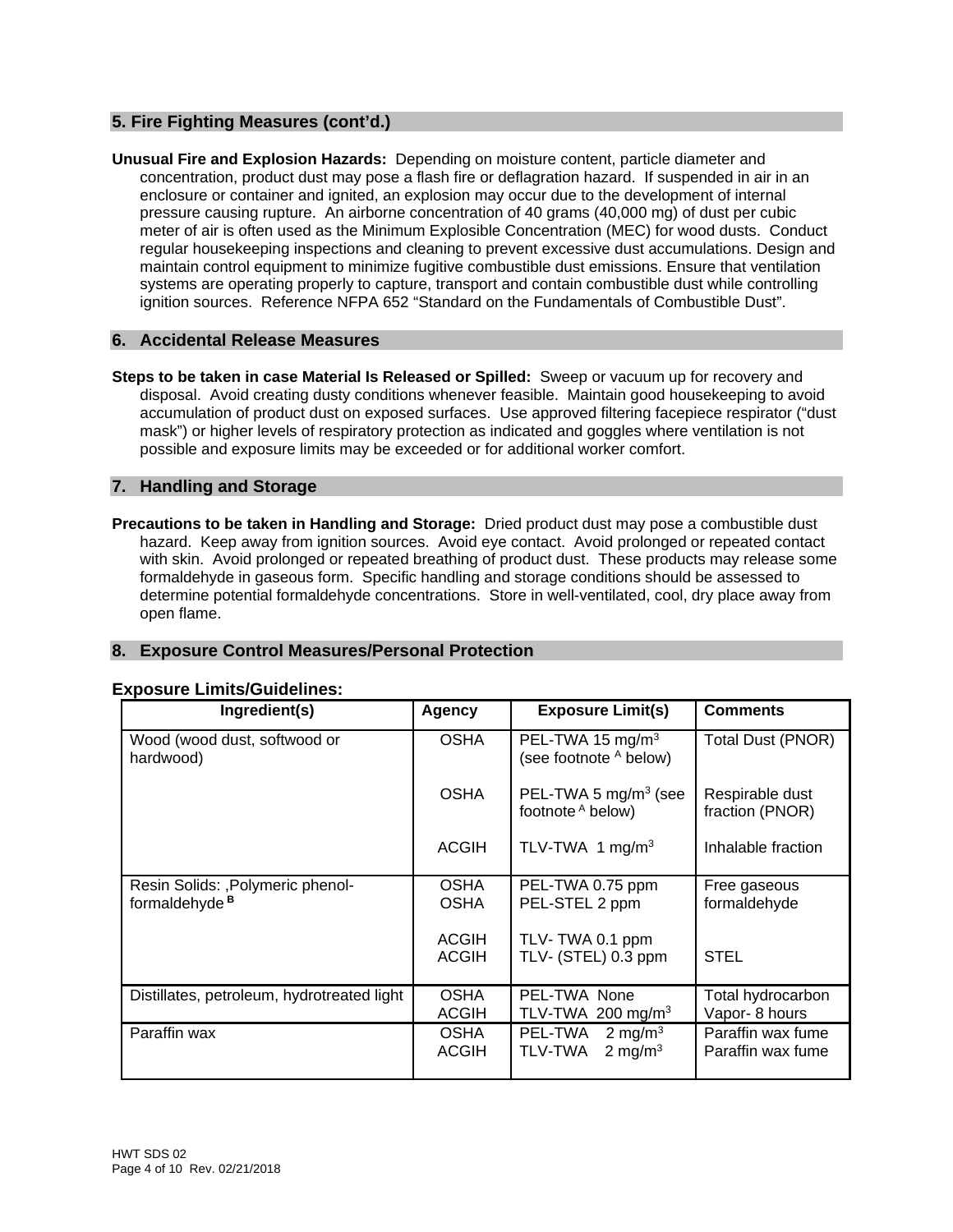# **5. Fire Fighting Measures (cont'd.)**

**Unusual Fire and Explosion Hazards:** Depending on moisture content, particle diameter and concentration, product dust may pose a flash fire or deflagration hazard. If suspended in air in an enclosure or container and ignited, an explosion may occur due to the development of internal pressure causing rupture. An airborne concentration of 40 grams (40,000 mg) of dust per cubic meter of air is often used as the Minimum Explosible Concentration (MEC) for wood dusts. Conduct regular housekeeping inspections and cleaning to prevent excessive dust accumulations. Design and maintain control equipment to minimize fugitive combustible dust emissions. Ensure that ventilation systems are operating properly to capture, transport and contain combustible dust while controlling ignition sources. Reference NFPA 652 "Standard on the Fundamentals of Combustible Dust".

#### **6. Accidental Release Measures**

**Steps to be taken in case Material Is Released or Spilled:** Sweep or vacuum up for recovery and disposal. Avoid creating dusty conditions whenever feasible. Maintain good housekeeping to avoid accumulation of product dust on exposed surfaces. Use approved filtering facepiece respirator ("dust mask") or higher levels of respiratory protection as indicated and goggles where ventilation is not possible and exposure limits may be exceeded or for additional worker comfort.

#### **7. Handling and Storage**

**Precautions to be taken in Handling and Storage:** Dried product dust may pose a combustible dust hazard. Keep away from ignition sources. Avoid eye contact. Avoid prolonged or repeated contact with skin. Avoid prolonged or repeated breathing of product dust. These products may release some formaldehyde in gaseous form. Specific handling and storage conditions should be assessed to determine potential formaldehyde concentrations. Store in well-ventilated, cool, dry place away from open flame.

# **8. Exposure Control Measures/Personal Protection**

| Ingredient(s)                                                  | Agency                       | <b>Exposure Limit(s)</b>                                | <b>Comments</b>                        |
|----------------------------------------------------------------|------------------------------|---------------------------------------------------------|----------------------------------------|
| Wood (wood dust, softwood or<br>hardwood)                      | <b>OSHA</b>                  | PEL-TWA 15 mg/m <sup>3</sup><br>(see footnote A below)  | <b>Total Dust (PNOR)</b>               |
|                                                                | <b>OSHA</b>                  | PEL-TWA 5 $mg/m3$ (see<br>footnote A below)             | Respirable dust<br>fraction (PNOR)     |
|                                                                | <b>ACGIH</b>                 | TLV-TWA 1 mg/m <sup>3</sup>                             | Inhalable fraction                     |
| Resin Solids: , Polymeric phenol-<br>formaldehyde <sup>B</sup> | <b>OSHA</b><br><b>OSHA</b>   | PEL-TWA 0.75 ppm<br>PEL-STEL 2 ppm                      | Free gaseous<br>formaldehyde           |
|                                                                | <b>ACGIH</b><br><b>ACGIH</b> | TLV-TWA 0.1 ppm<br>TLV- (STEL) 0.3 ppm                  | <b>STEL</b>                            |
| Distillates, petroleum, hydrotreated light                     | <b>OSHA</b><br><b>ACGIH</b>  | PEL-TWA None<br>TLV-TWA 200 mg/m <sup>3</sup>           | Total hydrocarbon<br>Vapor- 8 hours    |
| Paraffin wax                                                   | <b>OSHA</b><br><b>ACGIH</b>  | PEL-TWA<br>2 mg/m $3$<br>2 mg/m <sup>3</sup><br>TLV-TWA | Paraffin wax fume<br>Paraffin wax fume |

#### **Exposure Limits/Guidelines:**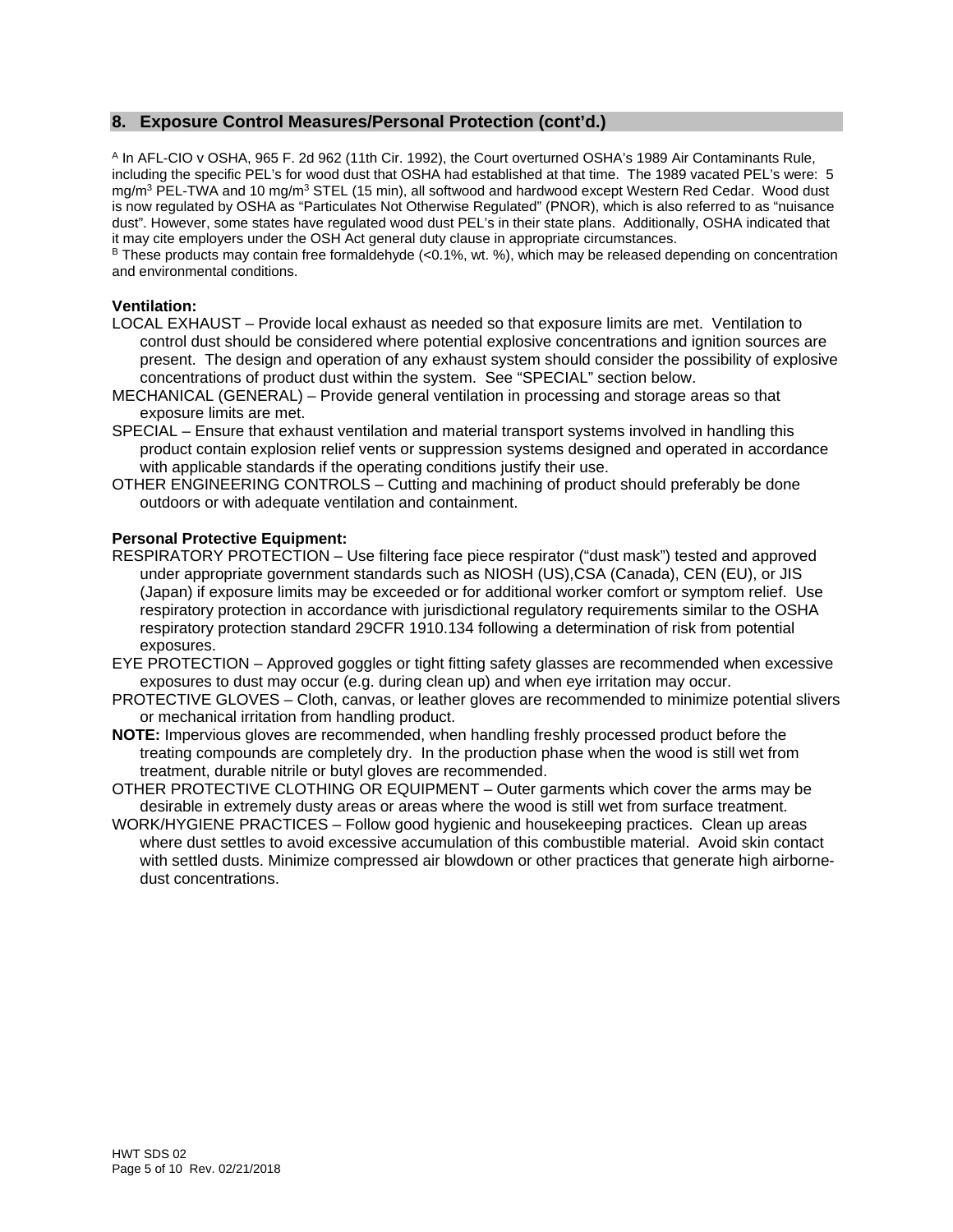# **8. Exposure Control Measures/Personal Protection (cont'd.)**

A In AFL-CIO v OSHA, 965 F. 2d 962 (11th Cir. 1992), the Court overturned OSHA's 1989 Air Contaminants Rule, including the specific PEL's for wood dust that OSHA had established at that time. The 1989 vacated PEL's were: 5 mg/m<sup>3</sup> PEL-TWA and 10 mg/m<sup>3</sup> STEL (15 min), all softwood and hardwood except Western Red Cedar. Wood dust is now regulated by OSHA as "Particulates Not Otherwise Regulated" (PNOR), which is also referred to as "nuisance dust". However, some states have regulated wood dust PEL's in their state plans. Additionally, OSHA indicated that it may cite employers under the OSH Act general duty clause in appropriate circumstances.

 $B$  These products may contain free formaldehyde (<0.1%, wt. %), which may be released depending on concentration and environmental conditions.

#### **Ventilation:**

- LOCAL EXHAUST Provide local exhaust as needed so that exposure limits are met. Ventilation to control dust should be considered where potential explosive concentrations and ignition sources are present. The design and operation of any exhaust system should consider the possibility of explosive concentrations of product dust within the system. See "SPECIAL" section below.
- MECHANICAL (GENERAL) Provide general ventilation in processing and storage areas so that exposure limits are met.
- SPECIAL Ensure that exhaust ventilation and material transport systems involved in handling this product contain explosion relief vents or suppression systems designed and operated in accordance with applicable standards if the operating conditions justify their use.
- OTHER ENGINEERING CONTROLS Cutting and machining of product should preferably be done outdoors or with adequate ventilation and containment.

#### **Personal Protective Equipment:**

- RESPIRATORY PROTECTION Use filtering face piece respirator ("dust mask") tested and approved under appropriate government standards such as NIOSH (US),CSA (Canada), CEN (EU), or JIS (Japan) if exposure limits may be exceeded or for additional worker comfort or symptom relief. Use respiratory protection in accordance with jurisdictional regulatory requirements similar to the OSHA respiratory protection standard 29CFR 1910.134 following a determination of risk from potential exposures.
- EYE PROTECTION Approved goggles or tight fitting safety glasses are recommended when excessive exposures to dust may occur (e.g. during clean up) and when eye irritation may occur.
- PROTECTIVE GLOVES Cloth, canvas, or leather gloves are recommended to minimize potential slivers or mechanical irritation from handling product.
- **NOTE:** Impervious gloves are recommended, when handling freshly processed product before the treating compounds are completely dry. In the production phase when the wood is still wet from treatment, durable nitrile or butyl gloves are recommended.
- OTHER PROTECTIVE CLOTHING OR EQUIPMENT Outer garments which cover the arms may be desirable in extremely dusty areas or areas where the wood is still wet from surface treatment.
- WORK/HYGIENE PRACTICES Follow good hygienic and housekeeping practices. Clean up areas where dust settles to avoid excessive accumulation of this combustible material. Avoid skin contact with settled dusts. Minimize compressed air blowdown or other practices that generate high airbornedust concentrations.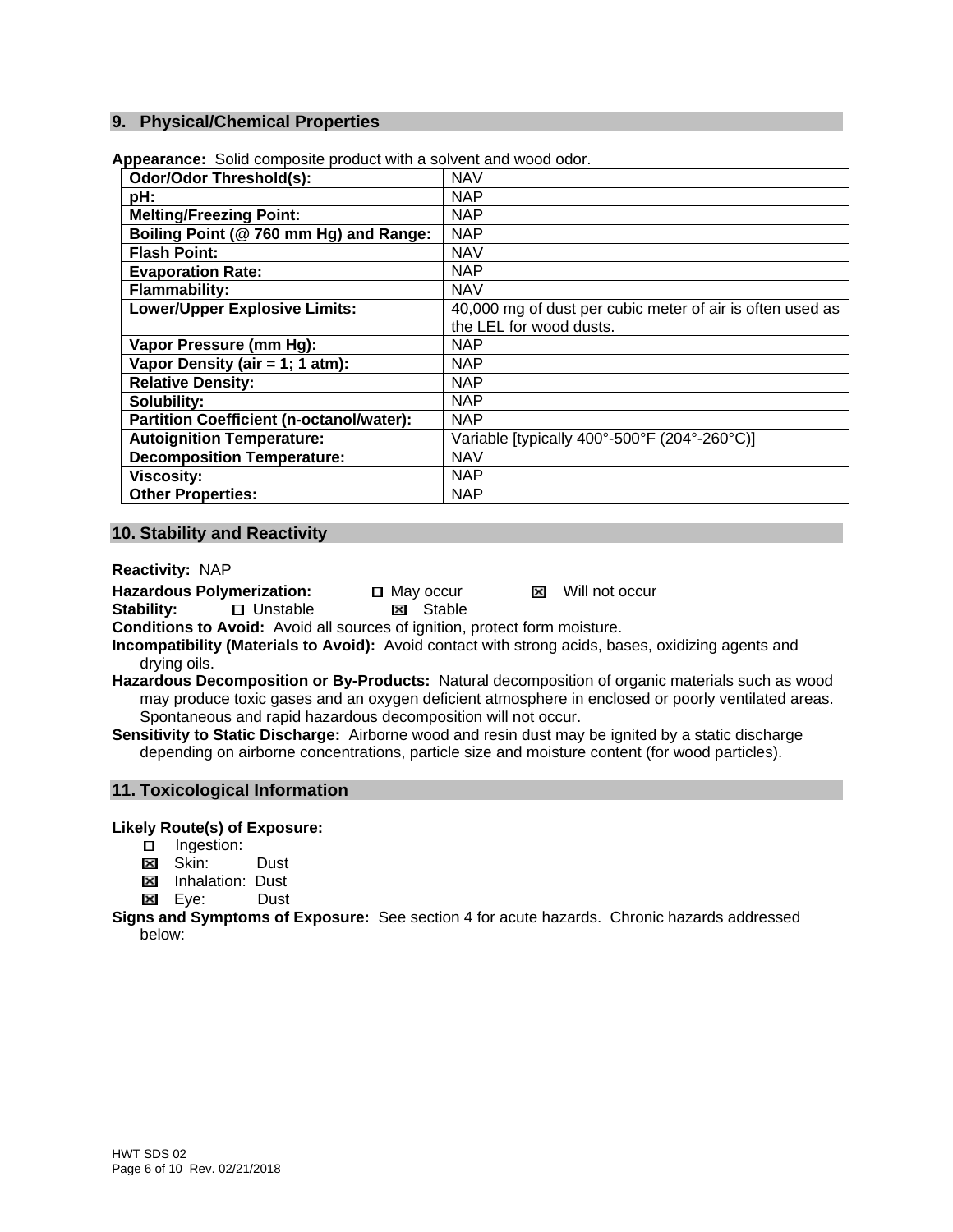#### **9. Physical/Chemical Properties**

| <b>Odor/Odor Threshold(s):</b>                  | <b>NAV</b>                                                |
|-------------------------------------------------|-----------------------------------------------------------|
| pH:                                             | <b>NAP</b>                                                |
| <b>Melting/Freezing Point:</b>                  | <b>NAP</b>                                                |
| Boiling Point (@ 760 mm Hg) and Range:          | <b>NAP</b>                                                |
| <b>Flash Point:</b>                             | <b>NAV</b>                                                |
| <b>Evaporation Rate:</b>                        | <b>NAP</b>                                                |
| <b>Flammability:</b>                            | <b>NAV</b>                                                |
| <b>Lower/Upper Explosive Limits:</b>            | 40,000 mg of dust per cubic meter of air is often used as |
|                                                 | the LEL for wood dusts.                                   |
| Vapor Pressure (mm Hg):                         | <b>NAP</b>                                                |
| Vapor Density (air = 1; 1 atm):                 | <b>NAP</b>                                                |
| <b>Relative Density:</b>                        | <b>NAP</b>                                                |
| Solubility:                                     | <b>NAP</b>                                                |
| <b>Partition Coefficient (n-octanol/water):</b> | <b>NAP</b>                                                |
| <b>Autoignition Temperature:</b>                | Variable [typically 400°-500°F (204°-260°C)]              |
| <b>Decomposition Temperature:</b>               | <b>NAV</b>                                                |
| <b>Viscosity:</b>                               | <b>NAP</b>                                                |
| <b>Other Properties:</b>                        | <b>NAP</b>                                                |

**Appearance:** Solid composite product with a solvent and wood odor.

#### **10. Stability and Reactivity**

**Reactivity:** NAP

Hazardous Polymerization: 
<br> **Stability:**  $\Box$  Unstable  $\Box$  Stable **Stability:** UnstableStable

**Conditions to Avoid:** Avoid all sources of ignition, protect form moisture.

- **Incompatibility (Materials to Avoid):** Avoid contact with strong acids, bases, oxidizing agents and drying oils.
- **Hazardous Decomposition or By-Products:** Natural decomposition of organic materials such as wood may produce toxic gases and an oxygen deficient atmosphere in enclosed or poorly ventilated areas. Spontaneous and rapid hazardous decomposition will not occur.
- **Sensitivity to Static Discharge:** Airborne wood and resin dust may be ignited by a static discharge depending on airborne concentrations, particle size and moisture content (for wood particles).

#### **11. Toxicological Information**

**Likely Route(s) of Exposure:**

- □ Ingestion:
- **Ed Skin:** Dust
- **EX** Inhalation: Dust
- Eye:Dust

**Signs and Symptoms of Exposure:** See section 4 for acute hazards. Chronic hazards addressed below: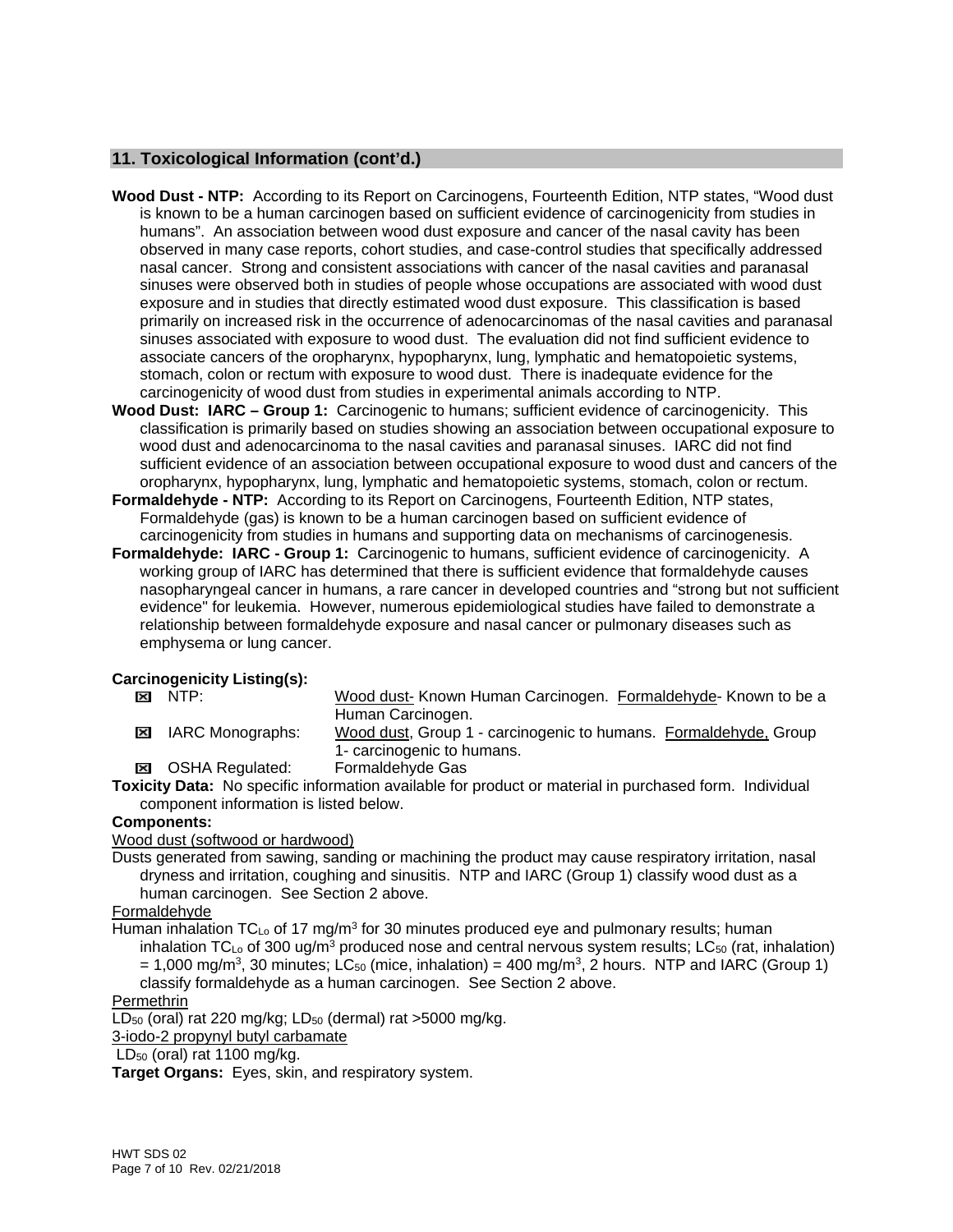# **11. Toxicological Information (cont'd.)**

- **Wood Dust NTP:** According to its Report on Carcinogens, Fourteenth Edition, NTP states, "Wood dust is known to be a human carcinogen based on sufficient evidence of carcinogenicity from studies in humans". An association between wood dust exposure and cancer of the nasal cavity has been observed in many case reports, cohort studies, and case-control studies that specifically addressed nasal cancer. Strong and consistent associations with cancer of the nasal cavities and paranasal sinuses were observed both in studies of people whose occupations are associated with wood dust exposure and in studies that directly estimated wood dust exposure. This classification is based primarily on increased risk in the occurrence of adenocarcinomas of the nasal cavities and paranasal sinuses associated with exposure to wood dust. The evaluation did not find sufficient evidence to associate cancers of the oropharynx, hypopharynx, lung, lymphatic and hematopoietic systems, stomach, colon or rectum with exposure to wood dust. There is inadequate evidence for the carcinogenicity of wood dust from studies in experimental animals according to NTP.
- **Wood Dust: IARC Group 1:** Carcinogenic to humans; sufficient evidence of carcinogenicity. This classification is primarily based on studies showing an association between occupational exposure to wood dust and adenocarcinoma to the nasal cavities and paranasal sinuses. IARC did not find sufficient evidence of an association between occupational exposure to wood dust and cancers of the oropharynx, hypopharynx, lung, lymphatic and hematopoietic systems, stomach, colon or rectum.
- **Formaldehyde NTP:** According to its Report on Carcinogens, Fourteenth Edition, NTP states, Formaldehyde (gas) is known to be a human carcinogen based on sufficient evidence of carcinogenicity from studies in humans and supporting data on mechanisms of carcinogenesis.
- **Formaldehyde: IARC Group 1:** Carcinogenic to humans, sufficient evidence of carcinogenicity. A working group of IARC has determined that there is sufficient evidence that formaldehyde causes nasopharyngeal cancer in humans, a rare cancer in developed countries and "strong but not sufficient evidence" for leukemia. However, numerous epidemiological studies have failed to demonstrate a relationship between formaldehyde exposure and nasal cancer or pulmonary diseases such as emphysema or lung cancer.

# **Carcinogenicity Listing(s):**<br>**EXID** NTP:

- Wood dust- Known Human Carcinogen. Formaldehyde- Known to be a
- Human Carcinogen. **EXI** IARC Monographs: Wood dust, Group 1 - carcinogenic to humans. Formaldehyde, Group 1- carcinogenic to humans.
- OSHA Regulated: Formaldehyde Gas

**Toxicity Data:** No specific information available for product or material in purchased form. Individual component information is listed below.

#### **Components:**

Wood dust (softwood or hardwood)

Dusts generated from sawing, sanding or machining the product may cause respiratory irritation, nasal dryness and irritation, coughing and sinusitis. NTP and IARC (Group 1) classify wood dust as a human carcinogen. See Section 2 above.

# Formaldehyde

Human inhalation  $TC_{\text{Lo}}$  of 17 mg/m<sup>3</sup> for 30 minutes produced eye and pulmonary results; human inhalation TC<sub>Lo</sub> of 300 ug/m<sup>3</sup> produced nose and central nervous system results; LC<sub>50</sub> (rat, inhalation)  $= 1,000$  mg/m<sup>3</sup>, 30 minutes; LC<sub>50</sub> (mice, inhalation) = 400 mg/m<sup>3</sup>, 2 hours. NTP and IARC (Group 1)

classify formaldehyde as a human carcinogen. See Section 2 above.

# **Permethrin**

 $LD_{50}$  (oral) rat 220 mg/kg;  $LD_{50}$  (dermal) rat >5000 mg/kg.

3-iodo-2 propynyl butyl carbamate

 $LD_{50}$  (oral) rat 1100 mg/kg.

**Target Organs:** Eyes, skin, and respiratory system.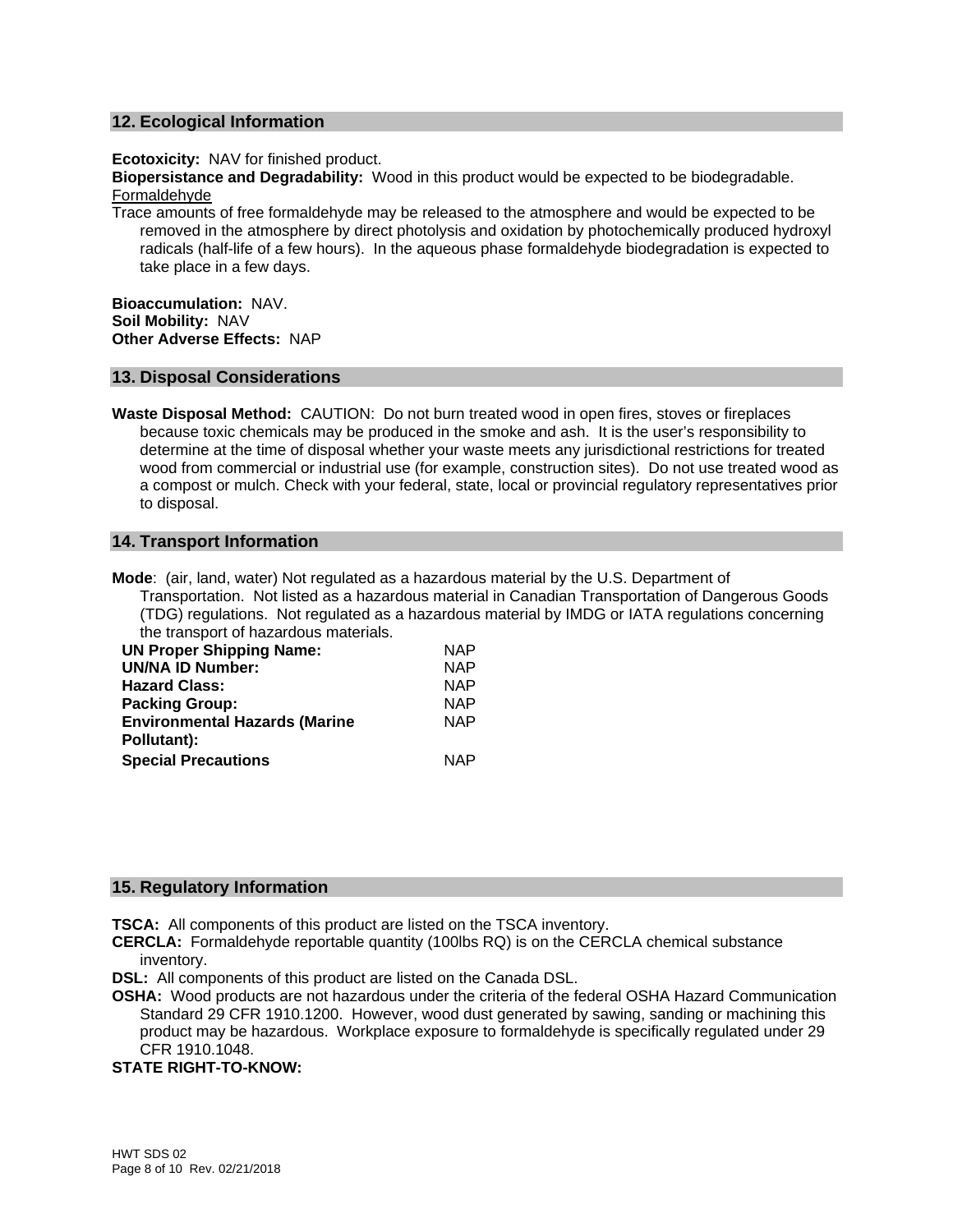#### **12. Ecological Information**

**Ecotoxicity:** NAV for finished product.

**Biopersistance and Degradability:** Wood in this product would be expected to be biodegradable. Formaldehyde

Trace amounts of free formaldehyde may be released to the atmosphere and would be expected to be removed in the atmosphere by direct photolysis and oxidation by photochemically produced hydroxyl radicals (half-life of a few hours). In the aqueous phase formaldehyde biodegradation is expected to take place in a few days.

**Bioaccumulation:** NAV. **Soil Mobility:** NAV **Other Adverse Effects:** NAP

#### **13. Disposal Considerations**

**Waste Disposal Method:** CAUTION: Do not burn treated wood in open fires, stoves or fireplaces because toxic chemicals may be produced in the smoke and ash. It is the user's responsibility to determine at the time of disposal whether your waste meets any jurisdictional restrictions for treated wood from commercial or industrial use (for example, construction sites). Do not use treated wood as a compost or mulch. Check with your federal, state, local or provincial regulatory representatives prior to disposal.

#### **14. Transport Information**

**Mode**: (air, land, water) Not regulated as a hazardous material by the U.S. Department of Transportation. Not listed as a hazardous material in Canadian Transportation of Dangerous Goods (TDG) regulations. Not regulated as a hazardous material by IMDG or IATA regulations concerning the transport of hazardous materials.

| <b>UN Proper Shipping Name:</b>      | <b>NAP</b> |
|--------------------------------------|------------|
| <b>UN/NA ID Number:</b>              | <b>NAP</b> |
| <b>Hazard Class:</b>                 | <b>NAP</b> |
| <b>Packing Group:</b>                | <b>NAP</b> |
| <b>Environmental Hazards (Marine</b> | <b>NAP</b> |
| Pollutant):                          |            |
| <b>Special Precautions</b>           | <b>NAP</b> |

#### **15. Regulatory Information**

**TSCA:** All components of this product are listed on the TSCA inventory.

**CERCLA:** Formaldehyde reportable quantity (100lbs RQ) is on the CERCLA chemical substance inventory.

**DSL:** All components of this product are listed on the Canada DSL.

**OSHA:** Wood products are not hazardous under the criteria of the federal OSHA Hazard Communication Standard 29 CFR 1910.1200. However, wood dust generated by sawing, sanding or machining this product may be hazardous. Workplace exposure to formaldehyde is specifically regulated under 29 CFR 1910.1048.

#### **STATE RIGHT-TO-KNOW:**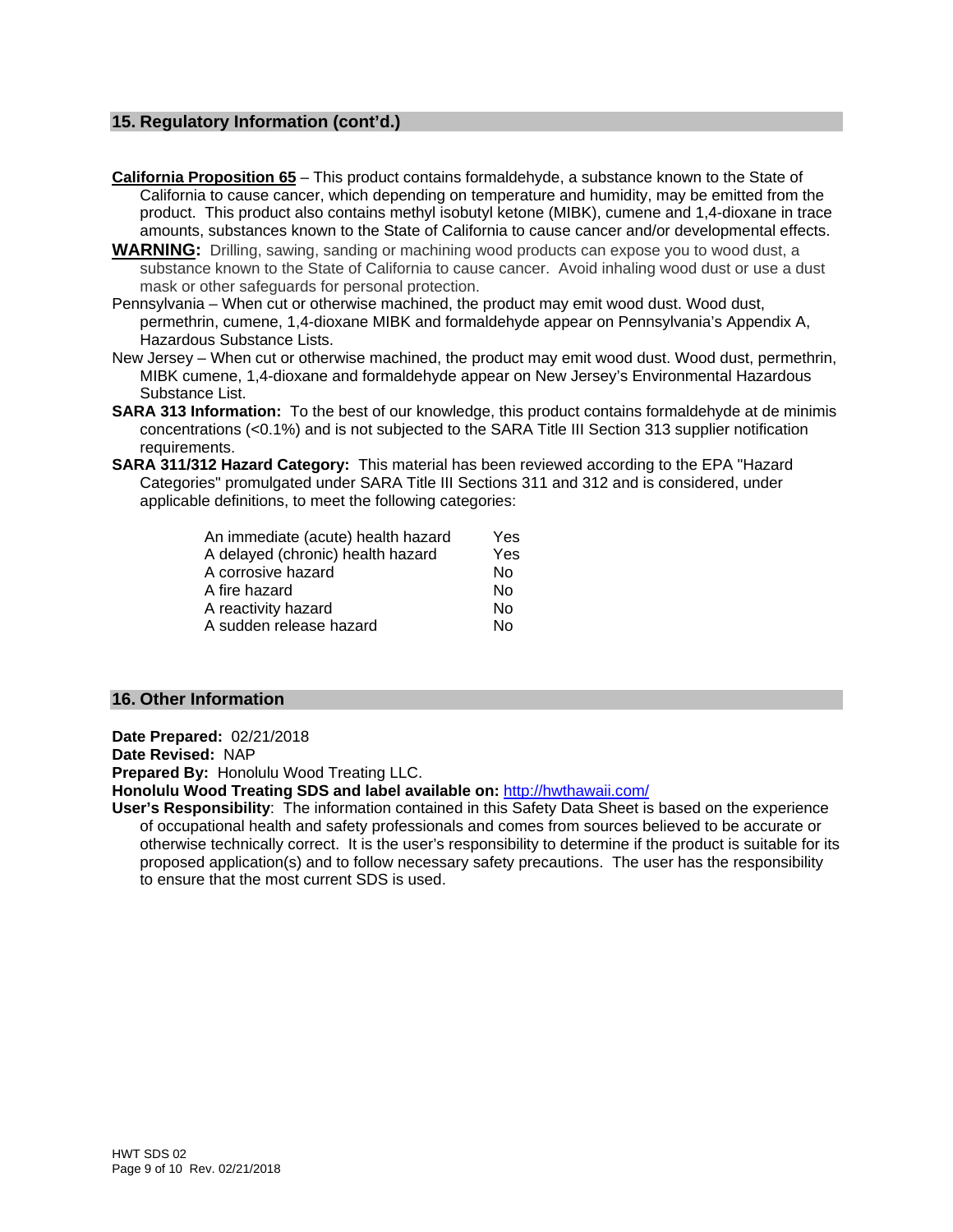# **15. Regulatory Information (cont'd.)**

**California Proposition 65** – This product contains formaldehyde, a substance known to the State of California to cause cancer, which depending on temperature and humidity, may be emitted from the product. This product also contains methyl isobutyl ketone (MIBK), cumene and 1,4-dioxane in trace amounts, substances known to the State of California to cause cancer and/or developmental effects.

- **WARNING:** Drilling, sawing, sanding or machining wood products can expose you to wood dust, a substance known to the State of California to cause cancer. Avoid inhaling wood dust or use a dust mask or other safeguards for personal protection.
- Pennsylvania When cut or otherwise machined, the product may emit wood dust. Wood dust, permethrin, cumene, 1,4-dioxane MIBK and formaldehyde appear on Pennsylvania's Appendix A, Hazardous Substance Lists.
- New Jersey When cut or otherwise machined, the product may emit wood dust. Wood dust, permethrin, MIBK cumene, 1,4-dioxane and formaldehyde appear on New Jersey's Environmental Hazardous Substance List.
- **SARA 313 Information:** To the best of our knowledge, this product contains formaldehyde at de minimis concentrations (<0.1%) and is not subjected to the SARA Title III Section 313 supplier notification requirements.
- **SARA 311/312 Hazard Category:** This material has been reviewed according to the EPA "Hazard Categories" promulgated under SARA Title III Sections 311 and 312 and is considered, under applicable definitions, to meet the following categories:

| An immediate (acute) health hazard | Yes |
|------------------------------------|-----|
| A delayed (chronic) health hazard  | Yes |
| A corrosive hazard                 | No  |
| A fire hazard                      | No  |
| A reactivity hazard                | No  |
| A sudden release hazard            | Nο  |

#### **16. Other Information**

**Date Prepared:** 02/21/2018 **Date Revised:** NAP **Prepared By:** Honolulu Wood Treating LLC. **Honolulu Wood Treating SDS and label available on:** http://hwthawaii.com/

**User's Responsibility**: The information contained in this Safety Data Sheet is based on the experience of occupational health and safety professionals and comes from sources believed to be accurate or otherwise technically correct. It is the user's responsibility to determine if the product is suitable for its proposed application(s) and to follow necessary safety precautions. The user has the responsibility to ensure that the most current SDS is used.